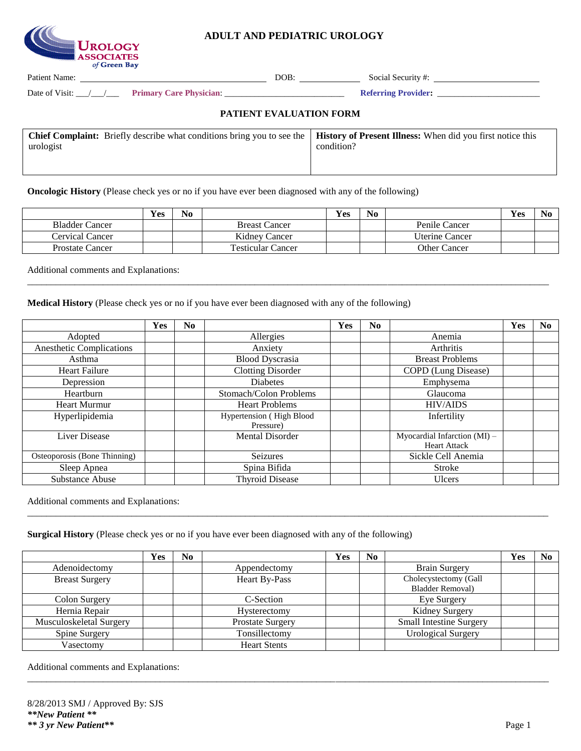

## **ADULT AND PEDIATRIC UROLOGY**

Patient Name: DOB: Social Security #:

Date of Visit: \_\_\_/\_\_\_/\_\_\_ **Primary Care Physician**: \_\_\_\_\_\_\_\_\_\_\_\_\_\_\_\_\_\_\_\_\_\_\_\_\_\_\_\_ **Referring Provider:** \_\_\_\_\_\_\_\_\_\_\_\_\_\_\_\_\_\_\_\_\_\_\_\_

### **PATIENT EVALUATION FORM**

| <b>Chief Complaint:</b> Briefly describe what conditions bring you to see the   <b>History of Present Illness:</b> When did you first notice this |            |
|---------------------------------------------------------------------------------------------------------------------------------------------------|------------|
| urologist                                                                                                                                         | condition? |
|                                                                                                                                                   |            |

**Oncologic History** (Please check yes or no if you have ever been diagnosed with any of the following)

|                        | <b>Yes</b> | N <sub>0</sub> |                          | Yes | N <sub>0</sub> |                     | Yes |  |
|------------------------|------------|----------------|--------------------------|-----|----------------|---------------------|-----|--|
| <b>Bladder Cancer</b>  |            |                | <b>Breast Cancer</b>     |     |                | Penile Cancer       |     |  |
| <b>Cervical Cancer</b> |            |                | Kidney Cancer            |     |                | Uterine Cancer      |     |  |
| Prostate Cancer        |            |                | <b>Testicular Cancer</b> |     |                | <b>Other Cancer</b> |     |  |

\_\_\_\_\_\_\_\_\_\_\_\_\_\_\_\_\_\_\_\_\_\_\_\_\_\_\_\_\_\_\_\_\_\_\_\_\_\_\_\_\_\_\_\_\_\_\_\_\_\_\_\_\_\_\_\_\_\_\_\_\_\_\_\_\_\_\_\_\_\_\_\_\_\_\_\_\_\_\_\_\_\_\_\_\_\_\_\_\_\_\_\_\_\_\_\_\_\_\_\_\_\_\_\_\_\_\_\_\_\_

Additional comments and Explanations:

**Medical History** (Please check yes or no if you have ever been diagnosed with any of the following)

|                                 | <b>Yes</b> | No. |                                       | <b>Yes</b> | N <sub>0</sub> |                                                     | Yes | N <sub>0</sub> |
|---------------------------------|------------|-----|---------------------------------------|------------|----------------|-----------------------------------------------------|-----|----------------|
| Adopted                         |            |     | Allergies                             |            |                | Anemia                                              |     |                |
| <b>Anesthetic Complications</b> |            |     | Anxiety                               |            |                | Arthritis                                           |     |                |
| Asthma                          |            |     | <b>Blood Dyscrasia</b>                |            |                | <b>Breast Problems</b>                              |     |                |
| <b>Heart Failure</b>            |            |     | <b>Clotting Disorder</b>              |            |                | COPD (Lung Disease)                                 |     |                |
| Depression                      |            |     | <b>Diabetes</b>                       |            |                | Emphysema                                           |     |                |
| Heartburn                       |            |     | Stomach/Colon Problems                |            |                | Glaucoma                                            |     |                |
| <b>Heart Murmur</b>             |            |     | <b>Heart Problems</b>                 |            |                | <b>HIV/AIDS</b>                                     |     |                |
| Hyperlipidemia                  |            |     | Hypertension (High Blood<br>Pressure) |            |                | Infertility                                         |     |                |
| Liver Disease                   |            |     | Mental Disorder                       |            |                | Myocardial Infarction (MI) -<br><b>Heart Attack</b> |     |                |
| Osteoporosis (Bone Thinning)    |            |     | Seizures                              |            |                | Sickle Cell Anemia                                  |     |                |
| Sleep Apnea                     |            |     | Spina Bifida                          |            |                | <b>Stroke</b>                                       |     |                |
| Substance Abuse                 |            |     | <b>Thyroid Disease</b>                |            |                | <b>Ulcers</b>                                       |     |                |

Additional comments and Explanations:

**Surgical History** (Please check yes or no if you have ever been diagnosed with any of the following)

|                         | Yes | N <sub>0</sub> |                     | Yes                   | No |                                | Yes | No. |
|-------------------------|-----|----------------|---------------------|-----------------------|----|--------------------------------|-----|-----|
| Adenoidectomy           |     |                | Appendectomy        |                       |    | <b>Brain Surgery</b>           |     |     |
| <b>Breast Surgery</b>   |     |                | Heart By-Pass       | Cholecystectomy (Gall |    |                                |     |     |
|                         |     |                |                     |                       |    | <b>Bladder Removal)</b>        |     |     |
| Colon Surgery           |     |                | C-Section           |                       |    | Eye Surgery                    |     |     |
| Hernia Repair           |     |                | Hysterectomy        |                       |    | Kidney Surgery                 |     |     |
| Musculoskeletal Surgery |     |                | Prostate Surgery    |                       |    | <b>Small Intestine Surgery</b> |     |     |
| Spine Surgery           |     |                | Tonsillectomy       |                       |    | <b>Urological Surgery</b>      |     |     |
| Vasectomy               |     |                | <b>Heart Stents</b> |                       |    |                                |     |     |

\_\_\_\_\_\_\_\_\_\_\_\_\_\_\_\_\_\_\_\_\_\_\_\_\_\_\_\_\_\_\_\_\_\_\_\_\_\_\_\_\_\_\_\_\_\_\_\_\_\_\_\_\_\_\_\_\_\_\_\_\_\_\_\_\_\_\_\_\_\_\_\_\_\_\_\_\_\_\_\_\_\_\_\_\_\_\_\_\_\_\_\_\_\_\_\_\_\_\_\_\_\_\_\_\_\_\_\_\_\_

\_\_\_\_\_\_\_\_\_\_\_\_\_\_\_\_\_\_\_\_\_\_\_\_\_\_\_\_\_\_\_\_\_\_\_\_\_\_\_\_\_\_\_\_\_\_\_\_\_\_\_\_\_\_\_\_\_\_\_\_\_\_\_\_\_\_\_\_\_\_\_\_\_\_\_\_\_\_\_\_\_\_\_\_\_\_\_\_\_\_\_\_\_\_\_\_\_\_\_\_\_\_\_\_\_\_\_\_\_\_

Additional comments and Explanations: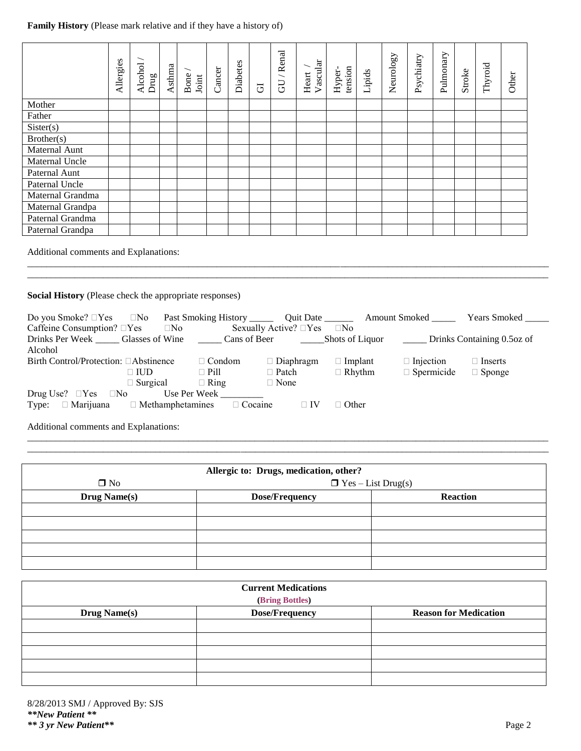# **Family History** (Please mark relative and if they have a history of)

|                                       | Allergies | Alcohol<br>Drug | Asthma | Bone<br>Joint | Cancer | Diabetes | $\overline{G}$ | /Renal<br><b>GU</b> | Vascular<br>Heart | tension<br>Hyper- | Lipids | Neurology | Psychiatry | Pulmonary | Stroke | Thyroid | Other |
|---------------------------------------|-----------|-----------------|--------|---------------|--------|----------|----------------|---------------------|-------------------|-------------------|--------|-----------|------------|-----------|--------|---------|-------|
| Mother                                |           |                 |        |               |        |          |                |                     |                   |                   |        |           |            |           |        |         |       |
| Father                                |           |                 |        |               |        |          |                |                     |                   |                   |        |           |            |           |        |         |       |
| Sister(s)                             |           |                 |        |               |        |          |                |                     |                   |                   |        |           |            |           |        |         |       |
| Brother(s)                            |           |                 |        |               |        |          |                |                     |                   |                   |        |           |            |           |        |         |       |
| Maternal Aunt                         |           |                 |        |               |        |          |                |                     |                   |                   |        |           |            |           |        |         |       |
| Maternal Uncle                        |           |                 |        |               |        |          |                |                     |                   |                   |        |           |            |           |        |         |       |
| Paternal Aunt                         |           |                 |        |               |        |          |                |                     |                   |                   |        |           |            |           |        |         |       |
| Paternal Uncle                        |           |                 |        |               |        |          |                |                     |                   |                   |        |           |            |           |        |         |       |
| Maternal Grandma                      |           |                 |        |               |        |          |                |                     |                   |                   |        |           |            |           |        |         |       |
| Maternal Grandpa                      |           |                 |        |               |        |          |                |                     |                   |                   |        |           |            |           |        |         |       |
| Paternal Grandma                      |           |                 |        |               |        |          |                |                     |                   |                   |        |           |            |           |        |         |       |
| Paternal Grandpa                      |           |                 |        |               |        |          |                |                     |                   |                   |        |           |            |           |        |         |       |
| Additional comments and Explanations: |           |                 |        |               |        |          |                |                     |                   |                   |        |           |            |           |        |         |       |

\_\_\_\_\_\_\_\_\_\_\_\_\_\_\_\_\_\_\_\_\_\_\_\_\_\_\_\_\_\_\_\_\_\_\_\_\_\_\_\_\_\_\_\_\_\_\_\_\_\_\_\_\_\_\_\_\_\_\_\_\_\_\_\_\_\_\_\_\_\_\_\_\_\_\_\_\_\_\_\_\_\_\_\_\_\_\_\_\_\_\_\_\_\_\_\_\_\_\_\_\_\_\_\_\_\_\_\_\_\_ \_\_\_\_\_\_\_\_\_\_\_\_\_\_\_\_\_\_\_\_\_\_\_\_\_\_\_\_\_\_\_\_\_\_\_\_\_\_\_\_\_\_\_\_\_\_\_\_\_\_\_\_\_\_\_\_\_\_\_\_\_\_\_\_\_\_\_\_\_\_\_\_\_\_\_\_\_\_\_\_\_\_\_\_\_\_\_\_\_\_\_\_\_\_\_\_\_\_\_\_\_\_\_\_\_\_\_\_\_\_

**Social History** (Please check the appropriate responses)

| Do you Smoke? □Yes □No Past Smoking History _________ Quit Date ___________ Amount Smoked _________ |                 |              |                                                                   |                                       |                |                                            | <b>Years Smoked</b> |
|-----------------------------------------------------------------------------------------------------|-----------------|--------------|-------------------------------------------------------------------|---------------------------------------|----------------|--------------------------------------------|---------------------|
| Caffeine Consumption? $\Box$ Yes $\Box$ No                                                          |                 |              |                                                                   | Sexually Active? $\Box$ Yes $\Box$ No |                |                                            |                     |
| Drinks Per Week Glasses of Wine Cans of Beer                                                        |                 |              |                                                                   |                                       |                | Shots of Liquor Drinks Containing 0.5oz of |                     |
| Alcohol                                                                                             |                 |              |                                                                   |                                       |                |                                            |                     |
| Birth Control/Protection: □Abstinence                                                               |                 |              | $\Box$ Condom                                                     | $\Box$ Diaphragm                      | $\Box$ Implant | $\Box$ Injection                           | $\Box$ Inserts      |
|                                                                                                     | $\square$ IUD   |              | $\Box$ Pill                                                       | $\Box$ Patch                          | $\Box$ Rhythm  | $\Box$ Spermicide                          | $\Box$ Sponge       |
|                                                                                                     | $\Box$ Surgical |              | $\Box$ Ring                                                       | $\Box$ None                           |                |                                            |                     |
| Drug Use? $\Box$ Yes $\Box$ No                                                                      |                 | Use Per Week |                                                                   |                                       |                |                                            |                     |
| Type:                                                                                               |                 |              | $\Box$ Marijuana $\Box$ Methamphetamines $\Box$ Cocaine $\Box$ IV |                                       | $\Box$ Other   |                                            |                     |

\_\_\_\_\_\_\_\_\_\_\_\_\_\_\_\_\_\_\_\_\_\_\_\_\_\_\_\_\_\_\_\_\_\_\_\_\_\_\_\_\_\_\_\_\_\_\_\_\_\_\_\_\_\_\_\_\_\_\_\_\_\_\_\_\_\_\_\_\_\_\_\_\_\_\_\_\_\_\_\_\_\_\_\_\_\_\_\_\_\_\_\_\_\_\_\_\_\_\_\_\_\_\_\_\_\_\_\_\_\_ \_\_\_\_\_\_\_\_\_\_\_\_\_\_\_\_\_\_\_\_\_\_\_\_\_\_\_\_\_\_\_\_\_\_\_\_\_\_\_\_\_\_\_\_\_\_\_\_\_\_\_\_\_\_\_\_\_\_\_\_\_\_\_\_\_\_\_\_\_\_\_\_\_\_\_\_\_\_\_\_\_\_\_\_\_\_\_\_\_\_\_\_\_\_\_\_\_\_\_\_\_\_\_\_\_\_\_\_\_\_

Additional comments and Explanations:

|                     | Allergic to: Drugs, medication, other? |                           |
|---------------------|----------------------------------------|---------------------------|
| $\square$ No        |                                        | $\Box$ Yes – List Drug(s) |
| <b>Drug Name(s)</b> | <b>Dose/Frequency</b>                  | <b>Reaction</b>           |
|                     |                                        |                           |
|                     |                                        |                           |
|                     |                                        |                           |
|                     |                                        |                           |
|                     |                                        |                           |

| <b>Current Medications</b><br>(Bring Bottles) |                       |                              |  |  |  |  |  |
|-----------------------------------------------|-----------------------|------------------------------|--|--|--|--|--|
| <b>Drug Name(s)</b>                           | <b>Dose/Frequency</b> | <b>Reason for Medication</b> |  |  |  |  |  |
|                                               |                       |                              |  |  |  |  |  |
|                                               |                       |                              |  |  |  |  |  |
|                                               |                       |                              |  |  |  |  |  |
|                                               |                       |                              |  |  |  |  |  |
|                                               |                       |                              |  |  |  |  |  |